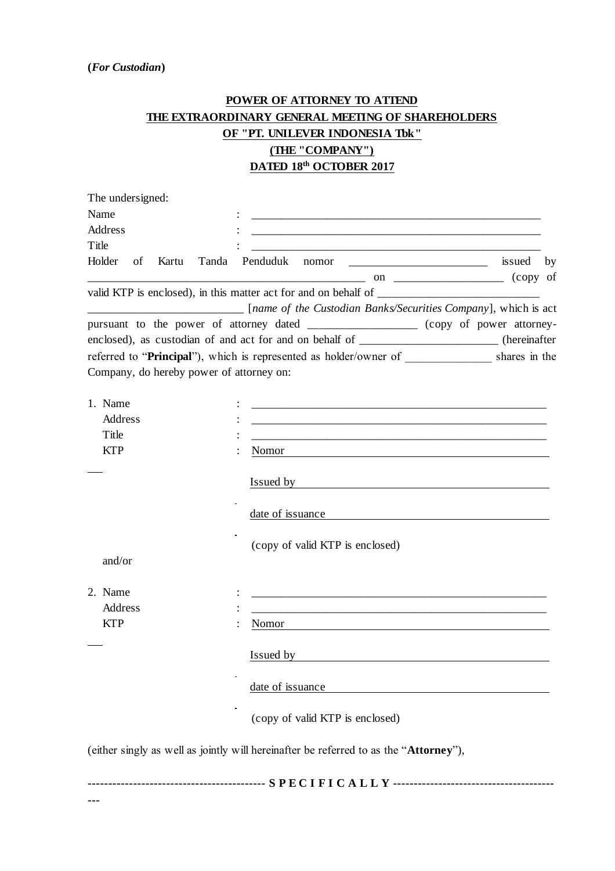## **POWER OF ATTORNEY TO ATTEND THE EXTRAORDINARY GENERAL MEETING OF SHAREHOLDERS OF "PT. UNILEVER INDONESIA Tbk" (THE "COMPANY") DATED 18th OCTOBER 2017**

| The undersigned:                                                                   |                                                                                                                                                                                                                                |  |  |
|------------------------------------------------------------------------------------|--------------------------------------------------------------------------------------------------------------------------------------------------------------------------------------------------------------------------------|--|--|
| Name                                                                               |                                                                                                                                                                                                                                |  |  |
| <b>Address</b>                                                                     |                                                                                                                                                                                                                                |  |  |
| Title                                                                              |                                                                                                                                                                                                                                |  |  |
| Holder of<br>Kartu                                                                 | Penduduk nomor<br>Tanda<br>issued by                                                                                                                                                                                           |  |  |
|                                                                                    | copy of                                                                                                                                                                                                                        |  |  |
|                                                                                    |                                                                                                                                                                                                                                |  |  |
|                                                                                    | [name of the Custodian Banks/Securities Company], which is act                                                                                                                                                                 |  |  |
| pursuant to the power of attorney dated _________________ (copy of power attorney- |                                                                                                                                                                                                                                |  |  |
|                                                                                    | enclosed), as custodian of and act for and on behalf of _______________________(hereinafter                                                                                                                                    |  |  |
|                                                                                    | referred to "Principal"), which is represented as holder/owner of ______________ shares in the                                                                                                                                 |  |  |
| Company, do hereby power of attorney on:                                           |                                                                                                                                                                                                                                |  |  |
|                                                                                    |                                                                                                                                                                                                                                |  |  |
| 1. Name                                                                            | <u> 1989 - Johann Stoff, deutscher Stoff, der Stoff, der Stoff, der Stoff, der Stoff, der Stoff, der Stoff, der S</u>                                                                                                          |  |  |
| <b>Address</b>                                                                     |                                                                                                                                                                                                                                |  |  |
| Title                                                                              |                                                                                                                                                                                                                                |  |  |
| <b>KTP</b>                                                                         | Nomor and the same state of the same state of the same state of the same state of the same state of the same state of the same state of the same state of the same state of the same state of the same state of the same state |  |  |
|                                                                                    |                                                                                                                                                                                                                                |  |  |
|                                                                                    | Issued by Theorem 2012 and 2012 and 2013 and 2013 and 2013 and 2013 and 2013 and 2013 and 2013 and 2013 and 2013 and 2013 and 2013 and 2013 and 2013 and 2013 and 2013 and 2013 and 2013 and 2013 and 2013 and 2013 and 2013 a |  |  |
|                                                                                    |                                                                                                                                                                                                                                |  |  |
|                                                                                    | date of issuance                                                                                                                                                                                                               |  |  |
|                                                                                    |                                                                                                                                                                                                                                |  |  |
|                                                                                    | (copy of valid KTP is enclosed)                                                                                                                                                                                                |  |  |
| and/or                                                                             |                                                                                                                                                                                                                                |  |  |
|                                                                                    |                                                                                                                                                                                                                                |  |  |
| 2. Name                                                                            |                                                                                                                                                                                                                                |  |  |
| <b>Address</b>                                                                     |                                                                                                                                                                                                                                |  |  |
| <b>KTP</b>                                                                         | Nomor                                                                                                                                                                                                                          |  |  |
|                                                                                    |                                                                                                                                                                                                                                |  |  |
|                                                                                    | Issued by                                                                                                                                                                                                                      |  |  |
|                                                                                    |                                                                                                                                                                                                                                |  |  |
|                                                                                    | date of issuance                                                                                                                                                                                                               |  |  |
|                                                                                    |                                                                                                                                                                                                                                |  |  |
|                                                                                    | (copy of valid KTP is enclosed)                                                                                                                                                                                                |  |  |
|                                                                                    |                                                                                                                                                                                                                                |  |  |
|                                                                                    | (either singly as well as jointly will hereinafter be referred to as the "Attorney"),                                                                                                                                          |  |  |
|                                                                                    |                                                                                                                                                                                                                                |  |  |
|                                                                                    |                                                                                                                                                                                                                                |  |  |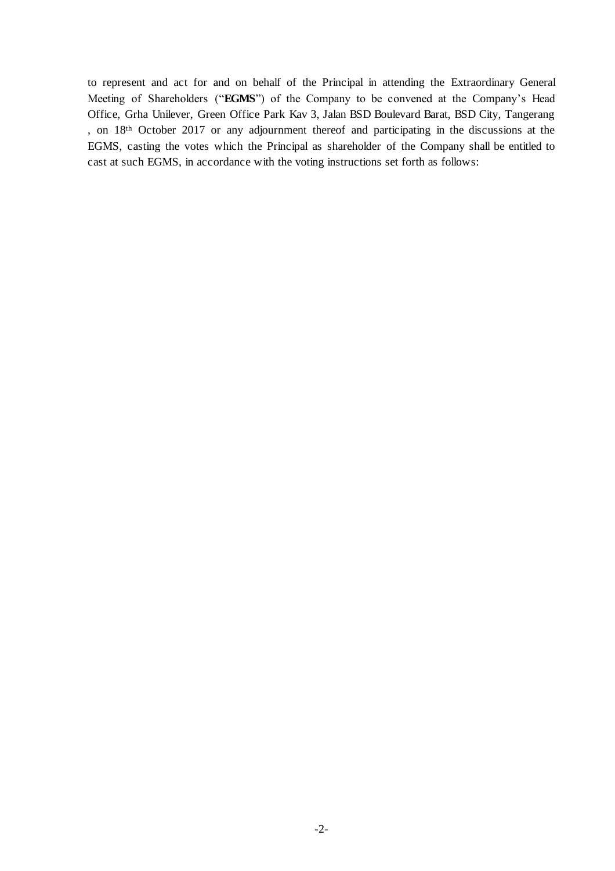to represent and act for and on behalf of the Principal in attending the Extraordinary General Meeting of Shareholders ("**EGMS**") of the Company to be convened at the Company's Head Office, Grha Unilever, Green Office Park Kav 3, Jalan BSD Boulevard Barat, BSD City, Tangerang , on 18th October 2017 or any adjournment thereof and participating in the discussions at the EGMS, casting the votes which the Principal as shareholder of the Company shall be entitled to cast at such EGMS, in accordance with the voting instructions set forth as follows: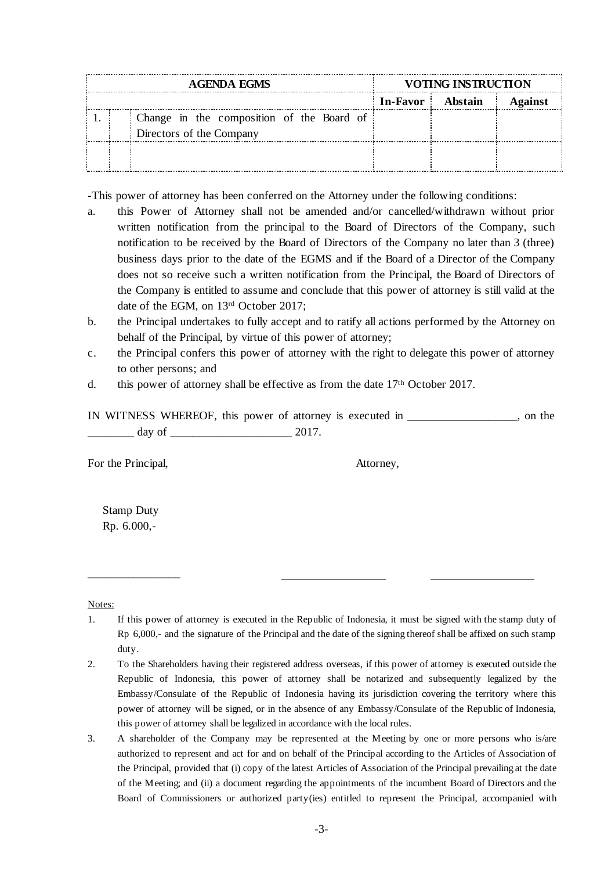| <b>AGENDA EGMS</b> |  | <b>VOTING INSTRUCTION</b>                 |                  |  |  |
|--------------------|--|-------------------------------------------|------------------|--|--|
|                    |  |                                           | In-Favor Abstain |  |  |
|                    |  | Change in the composition of the Board of |                  |  |  |
|                    |  | Directors of the Company                  |                  |  |  |
|                    |  |                                           |                  |  |  |
|                    |  |                                           |                  |  |  |

-This power of attorney has been conferred on the Attorney under the following conditions:

- a. this Power of Attorney shall not be amended and/or cancelled/withdrawn without prior written notification from the principal to the Board of Directors of the Company, such notification to be received by the Board of Directors of the Company no later than 3 (three) business days prior to the date of the EGMS and if the Board of a Director of the Company does not so receive such a written notification from the Principal, the Board of Directors of the Company is entitled to assume and conclude that this power of attorney is still valid at the date of the EGM, on 13rd October 2017;
- b. the Principal undertakes to fully accept and to ratify all actions performed by the Attorney on behalf of the Principal, by virtue of this power of attorney;
- c. the Principal confers this power of attorney with the right to delegate this power of attorney to other persons; and
- d. this power of attorney shall be effective as from the date  $17<sup>th</sup>$  October 2017.

IN WITNESS WHEREOF, this power of attorney is executed in \_\_\_\_\_\_\_\_\_\_\_\_\_\_\_\_\_\_\_, on the  $\frac{day \text{ of}}{2017}$ .

For the Principal,  $\blacksquare$  Attorney,

Stamp Duty Rp. 6.000,-

\_\_\_\_\_\_\_\_\_\_\_\_\_\_\_\_

Notes:

<sup>1.</sup> If this power of attorney is executed in the Republic of Indonesia, it must be signed with the stamp duty of Rp 6,000,- and the signature of the Principal and the date of the signing thereof shall be affixed on such stamp duty.

<sup>2.</sup> To the Shareholders having their registered address overseas, if this power of attorney is executed outside the Republic of Indonesia, this power of attorney shall be notarized and subsequently legalized by the Embassy/Consulate of the Republic of Indonesia having its jurisdiction covering the territory where this power of attorney will be signed, or in the absence of any Embassy/Consulate of the Republic of Indonesia, this power of attorney shall be legalized in accordance with the local rules.

<sup>3.</sup> A shareholder of the Company may be represented at the Meeting by one or more persons who is/are authorized to represent and act for and on behalf of the Principal according to the Articles of Association of the Principal, provided that (i) copy of the latest Articles of Association of the Principal prevailing at the date of the Meeting; and (ii) a document regarding the appointments of the incumbent Board of Directors and the Board of Commissioners or authorized party(ies) entitled to represent the Principal, accompanied with